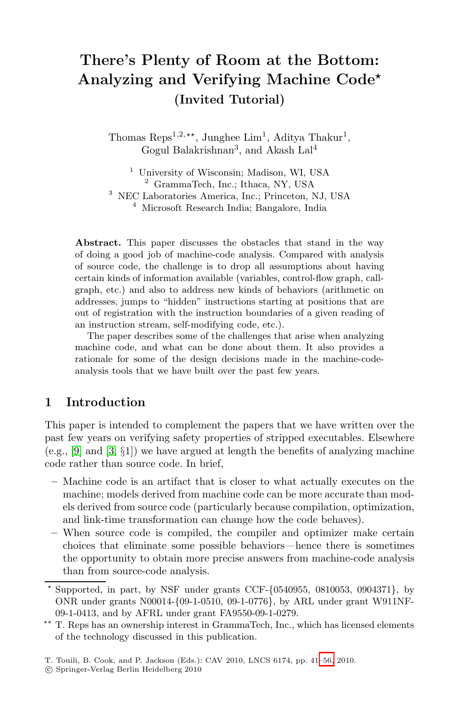# **There's Plenty of Room at the Bottom: Analyzing and Verifying Machine Code***-* **(Invited Tutorial)**

Thomas Reps<sup>1,2,\*\*</sup>, Junghee Lim<sup>1</sup>, Aditya Thakur<sup>1</sup>, Gogul Balakrishnan<sup>3</sup>, and Akash Lal<sup>4</sup>

<sup>1</sup> University of Wisconsin; Madison, WI, USA <sup>2</sup> GrammaTech, Inc.; Ithaca, NY, USA <sup>3</sup> NEC Laboratories America, Inc.; Princeton, NJ, USA

<sup>4</sup> Microsoft Research India; Bangalore, India

**Abstract.** This paper discusses the obstacles that stand in the way of doing a good job of machine-code analysis. Compared with analysis of source code, the challenge is to drop all assumptions about having certain kinds of information available (variables, control-flow graph, callgraph, etc.) and also to address new kinds of behaviors (arithmetic on addresses, jumps to "hidden" instructions starting at positions that are out of registration with the instruction boundaries of a given reading of an instruction stream, self-modifying code, etc.).

The paper describes some of the challenges that arise when analyzing machine code, and what can be done about them. It also provides a rationale for some of the design decisions made in the machine-codeanalysis tools that we have built over the past few years.

# **1 Introduction**

This paper is intended to complement the papers that we have written over the past few years on verifying safety properties of stripped executables. Elsewhere (e.g., [9] and  $(3, \, \& 1)$ ] we have argued at length the benefits of analyzing machine code rather than source code. In brief,

- **–** Machine code is an artifact that is closer to what actually executes on the machine; models derived from machine code can be more accurate than models derived from source code (particularly because compilation, optimization, and link-time transformation can change how the code behaves).
- When source code is compiled, the compiler and optimizer make certain choices that eliminate some possible behaviors—hence there is sometimes the opportunity to obtain more pre[cise](#page-15-0) answers from machine-code analysis than from source-code analysis.

<sup>-</sup> Supported, in part, by NSF under grants CCF-{0540955, 0810053, 0904371}, by ONR under grants N00014-{09-1-0510, 09-1-0776}, by ARL under grant W911NF-09-1-0413, and by AFRL under grant FA9550-09-1-0279.

<sup>\*\*</sup> T. Reps has an ownership interest in GrammaTech, Inc., which has licensed elements of the technology discussed in this publication.

T. Touili, B. Cook, and P. Jackson (Eds.): CAV 2010, LNCS 6174, pp. 41–56, 2010.

<sup>-</sup>c Springer-Verlag Berlin Heidelberg 2010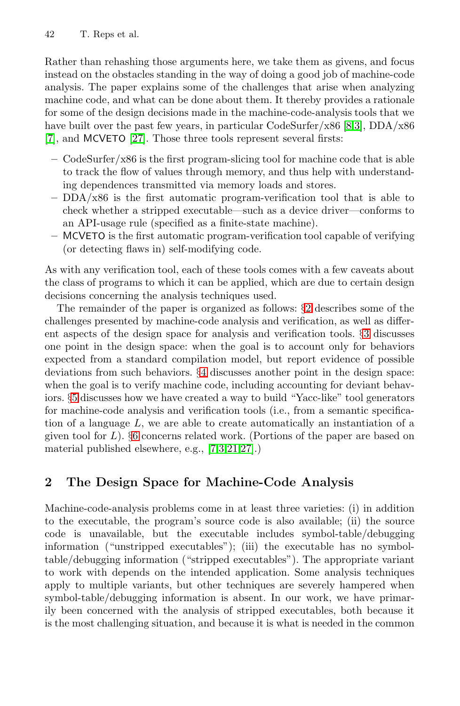Rather than rehashing those arguments here, we take them as givens, and focus instead on the obstacles standing in the way of doing a good job of machine-code analysis. The paper explains some of the challenges that arise when analyzing machine code, and what can be done about them. It thereby provides a rationale for some of the design decisions made in the machine-code-analysis tools that we have built over the past few years, in particular CodeSurfer/x86 [8,3], DDA/x86 [7], and MCVETO [27]. Those three tools represent several firsts:

- **–** CodeSurfer/x86 is the first program-slicing tool for machine code that is able to track the flow of values through memory, and thus help with understanding dependences transmitted via memory loads and stores.
- **–** DDA/x86 is the first automatic program-verification tool that is able to check whether a stripped execut[ab](#page-1-0)le—such as a device driver—conforms to an API-usage rule (specified as a finite-state machine).
- **–** MCVETO is the first automatic program-verifi[ca](#page-5-0)tion tool capable of verifying (or detecting flaws in) self-modifying code.

As with any v[eri](#page-7-0)fication tool, each of these tools comes with a few caveats about the class of programs to which it can be applied, which are due to certain design decisions concerning the analysis techniques used.

<span id="page-1-0"></span>The remainder of the paper is organized as follows: §2 describes some of the challenges presented by machine-code analysis and verification, as well as differ[en](#page-13-0)t aspects of the design space for analysis and verification tools. §3 discusses one point in th[e d](#page-14-0)[e](#page-14-1)[sig](#page-15-2)[n sp](#page-15-1)ace: when the goal is to account only for behaviors expected from a standard compilation model, but report evidence of possible deviations from such behaviors. §4 discusses another point in the design space: when the goal is to verify machine code, including accounting for deviant behaviors. §5 discusses how we have created a way to build "Yacc-like" tool generators for machine-code analysis and verification tools (i.e., from a semantic specification of a language L, we are able to create automatically an instantiation of a given tool for  $L$ ). §6 concerns related work. (Portions of the paper are based on material published elsewhere, e.g., [7,3,21,27].)

# **2 The Design Space for Machine-Code Analysis**

Machine-code-analysis problems come in at least three varieties: (i) in addition to the executable, the program's source code is also available; (ii) the source code is unavailable, but the executable includes symbol-table/debugging information ("unstripped executables"); (iii) the executable has no symboltable/debugging information ("stripped executables"). The appropriate variant to work with depends on the intended application. Some analysis techniques apply to multiple variants, but other techniques are severely hampered when symbol-table/debugging information is absent. In our work, we have primarily been concerned with the analysis of stripped executables, both because it is the most challenging situation, and because it is what is needed in the common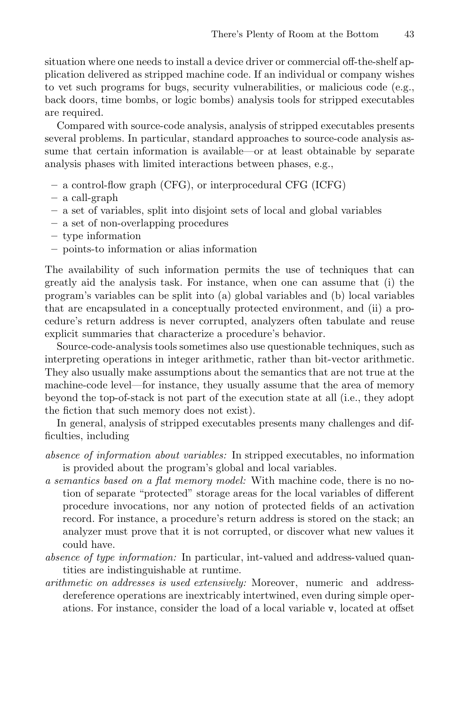situation where one needs to install a device driver or commercial off-the-shelf application delivered as stripped machine code. If an individual or company wishes to vet such programs for bugs, security vulnerabilities, or malicious code (e.g., back doors, time bombs, or logic bombs) analysis tools for stripped executables are required.

Compared with source-code analysis, analysis of stripped executables presents several problems. In particular, standard approaches to source-code analysis assume that certain information is available—or at least obtainable by separate analysis phases with limited interactions between phases, e.g.,

- **–** a control-flow graph (CFG), or interprocedural CFG (ICFG)
- **–** a call-graph
- **–** a set of variables, split into disjoint sets of local and global variables
- **–** a set of non-overlapping procedures
- **–** type information
- **–** points-to information or alias information

The availability of such information permits the use of techniques that can greatly aid the analysis task. For instance, when one can assume that (i) the program's variables can be split into (a) global variables and (b) local variables that are encapsulated in a conceptually protected environment, and (ii) a procedure's return address is never corrupted, analyzers often tabulate and reuse explicit summaries that characterize a procedure's behavior.

Source-code-analysis tools sometimes also use questionable techniques, such as interpreting operations in integer arithmetic, rather than bit-vector arithmetic. They also usually make assumptions about the semantics that are not true at the machine-code level—for instance, they usually assume that the area of memory beyond the top-of-stack is not part of the execution state at all (i.e., they adopt the fiction that such memory does not exist).

In general, analysis of stripped executables presents many challenges and difficulties, including

- *absence of information about variables:* In stripped executables, no information is provided about the program's global and local variables.
- *a semantics based on a flat memory model:* With machine code, there is no notion of separate "protected" storage areas for the local variables of different procedure invocations, nor any notion of protected fields of an activation record. For instance, a procedure's return address is stored on the stack; an analyzer must prove that it is not corrupted, or discover what new values it could have.
- *absence of type information:* In particular, int-valued and address-valued quantities are indistinguishable at runtime.
- *arithmetic on addresses is used extensively:* Moreover, numeric and addressdereference operations are inextricably intertwined, even during simple operations. For instance, consider the load of a local variable v, located at offset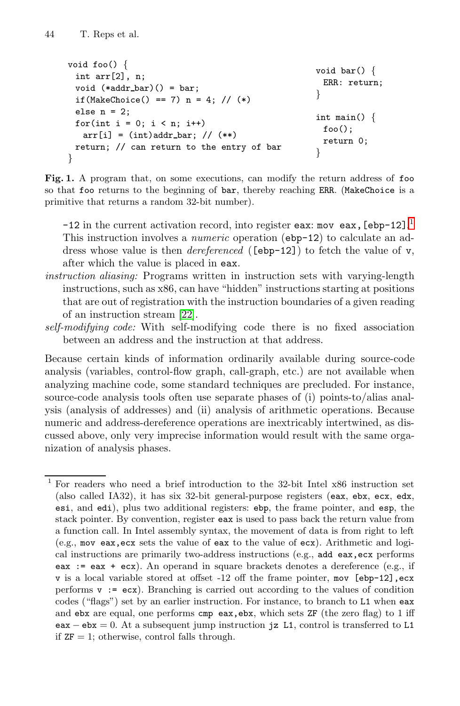```
void foo() {
 int arr[2], n;
 void (*addr_bar)() = bar;if(MakeChoice() == 7) n = 4; // (*)
 else n = 2;
 for(int i = 0; i < n; i^{++})
   arr[i] = (int)addr_bar; // (**)
 return; // can return to the entry of bar
}
                                                    void bar() {
                                                      ERR: return;
                                                    }
                                                    int main() {
                                                      foo();
                                                      return 0;
                                                    }
```
Fig. 1. A program that, on some executions, can modify the return address of food so that foo returns to the beginning of bar, thereby reaching ERR. (MakeChoice is a primitive that returns a random 32-bit number).

-12 in [th](#page-15-3)e current activation record, into register eax:  $\text{mov}$  eax,  $\text{[ebp-12]}$ .<sup>1</sup><br>This instruction involves a *numeric* operation (ebp-12) to calculate an ad-This instruction involves a *numeric* operation (ebp-12) to calculate an address whose value is then *dereferenced* ([ebp-12]) to fetch the value of v, after which the value is placed in eax.

- *instruction aliasing:* Programs written in instruction sets with varying-length instructions, such as x86, can have "hidden" instructions starting at positions that are out of registration with the instruction boundaries of a given reading of an instruction stream [22].
- *self-modifying code:* With self-modifying code there is no fixed association between an address and the instruction at that address.

Because certain kinds of information ordinarily available during source-code analysis (variables, control-flow graph, call-graph, etc.) are not available when analyzing machine code, some standard techniques are precluded. For instance, source-code analysis tools often use separate phases of (i) points-to/alias analysis (analysis of addresses) and (ii) analysis of arithmetic operations. Because numeric and address-dereference operations are inextricably intertwined, as discussed above, only very imprecise information would result with the same organization of analysis phases.

<sup>1</sup> For readers who need a brief introduction to the 32-bit Intel x86 instruction set (also called IA32), it has six 32-bit general-purpose registers (eax, ebx, ecx, edx, esi, and edi), plus two additional registers: ebp, the frame pointer, and esp, the stack pointer. By convention, register eax is used to pass back the return value from a function call. In Intel assembly syntax, the movement of data is from right to left (e.g., mov eax,ecx sets the value of eax to the value of ecx). Arithmetic and logical instructions are primarily two-address instructions (e.g., add eax,ecx performs eax := eax + ecx). An operand in square brackets denotes a dereference (e.g., if v is a local variable stored at offset -12 off the frame pointer, mov [ebp-12],ecx performs  $v := e^{-x}$ . Branching is carried out according to the values of condition codes ("flags") set by an earlier instruction. For instance, to branch to L1 when eax and  $ebx$  are equal, one performs  $cmp$  eax,ebx, which sets  $ZF$  (the zero flag) to 1 iff  $eax - ebx = 0$ . At a subsequent jump instruction jz L1, control is transferred to L1 if  $ZF = 1$ ; otherwise, control falls through.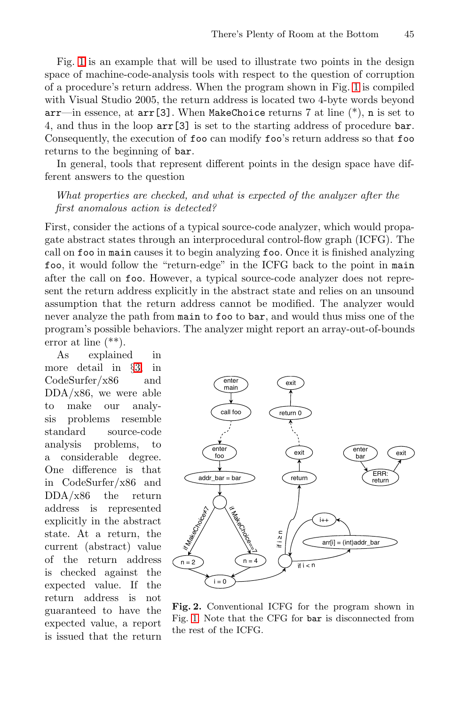Fig. 1 is an example that will be used to illustrate two points in the design space of machine-code-analysis tools with respect to the question of corruption of a procedure's return address. When the program shown in Fig. 1 is compiled with Visual Studio 2005, the return address is located two 4-byte words beyond arr—in essence, at  $arr[3]$ . When MakeChoice returns 7 at line  $(*)$ , n is set to 4, and thus in the loop arr[3] is set to the starting address of procedure bar. Consequently, the execution of foo can modify foo's return address so that foo returns to the beginning of bar.

In general, tools that represent different points in the design space have different answers to the question

# *What properties are checked, and what is expected of the analyzer after the first anomalous action is detected?*

First, consider the actions of a typical source-code analyzer, which would propagate abstract states through an interprocedural control-flow graph (ICFG). The call on foo in main causes it to begin analyzing foo. Once it is finished analyzing [fo](#page-5-0)o, it would follow the "return-edge" in the ICFG back to the point in main after the call on foo. However, a typical source-code analyzer does not represent the return address explicitly in the abstract state and relies on an unsound assumption that the return address cannot be modified. The analyzer would never analyze the path from main to foo to bar, and would thus miss one of the program's possible behaviors. The analyzer might report an array-out-of-bounds error at line (\*\*).

As explained in more detail in §3, in CodeSurfer/x86 and  $DDA/x86$ , we were able to make our analysis problems resemble standard source-code analysis problems, to a considerable degree. One difference is that in CodeSurfer/x86 and DDA/x86 the return address is represented explicitly in [th](#page-3-0)e abstract state. At a return, the current (abstract) value of the return address is checked against the expected value. If the return address is not guaranteed to have the expected value, a report is issued that the return



**Fig. 2.** Conventional ICFG for the program shown in Fig. 1. Note that the CFG for bar is disconnected from the rest of the ICFG.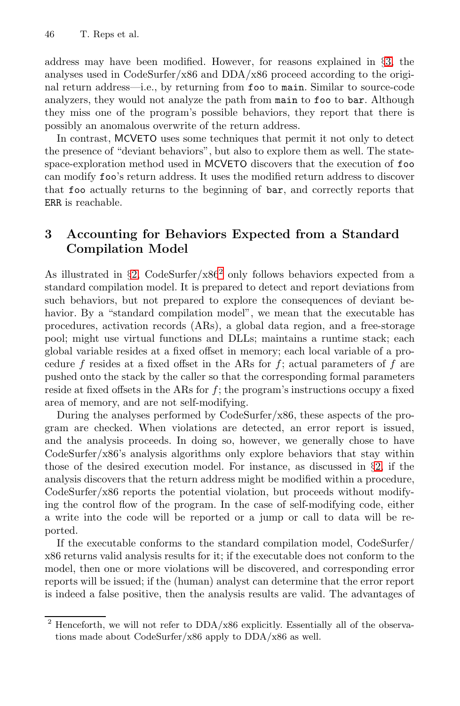address may have been modified. However, for reasons explained in §3, the analyses used in CodeSurfer/x86 and DDA/x86 proceed according to the original return address—i.e., by returning from foo to main. Similar to source-code analyzers, they would not analyze the path from main to foo to bar. Although they miss one of the program's possible behaviors, they report that there is possibly an anomalous overwrite of the return address.

<span id="page-5-0"></span>In contrast, MCVETO uses some techniques that permit it not only to detect the presence of "deviant behaviors", but also to explore them as well. The statespace-exploration method used in <sup>M</sup>CVETO discovers that the execution of foo [ca](#page-1-0)n modify foo's return address. It uses the modified return address to discover that foo actually returns to the beginning of bar, and correctly reports that ERR is reachable.

# **3 Accounting for Behaviors Expected from a Standard Compilation Model**

As illustrated in §2, CodeSurfer/x86<sup>2</sup> only follows behaviors expected from a standard compilation model. It is prepared to detect and report deviations from such behaviors, but not prepared to explore the consequences of deviant behavior. By a "standard compilation model", we mean that the executable has procedures, activation records (ARs), a global data region, and a free-storage pool; might use virtual functions and DLLs; maintains a runtime stack; each global variable resides at a fixed offset in memory; each local variable of a procedure f resides [a](#page-1-0)t a fixed offset in the ARs for  $f$ ; actual parameters of  $f$  are pushed onto the stack by the caller so that the corresponding formal parameters reside at fixed offsets in the ARs for f; the program's instructions occupy a fixed area of memory, and are not self-modifying.

During the analyses performed by CodeSurfer/x86, these aspects of the program are checked. When violations are detected, an error report is issued, and the analysis proceeds. In doing so, however, we generally chose to have CodeSurfer/x86's analysis algorithms only explore behaviors that stay within those of the desired execution model. For instance, as discussed in  $\S$ 2, if the analysis discovers that the return address might be modified within a procedure, CodeSurfer/x86 reports the potential violation, but proceeds without modifying the control flow of the program. In the case of self-modifying code, either a write into the code will be reported or a jump or call to data will be reported.

If the executable conforms to the standard compilation model, CodeSurfer/ x86 returns valid analysis results for it; if the executable does not conform to the model, then one or more violations will be discovered, and corresponding error reports will be issued; if the (human) analyst can determine that the error report is indeed a false positive, then the analysis results are valid. The advantages of

<sup>2</sup> Henceforth, we will not refer to DDA/x86 explicitly. Essentially all of the observations made about CodeSurfer/x86 apply to DDA/x86 as well.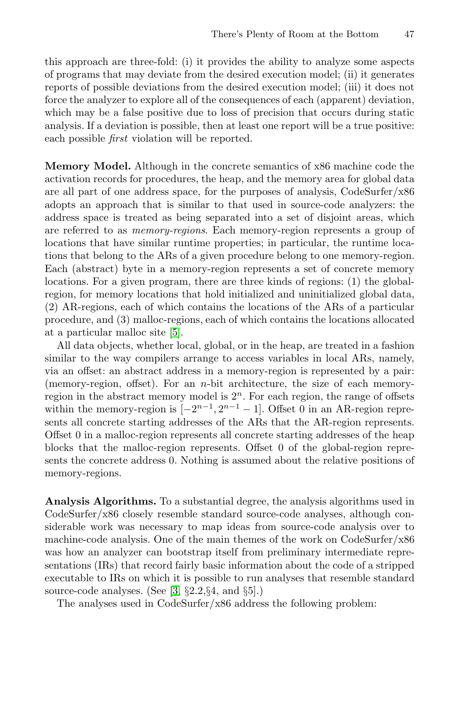this approach are three-fold: (i) it provides the ability to analyze some aspects of programs that may deviate from the desired execution model; (ii) it generates reports of possible deviations from the desired execution model; (iii) it does not force the analyzer to explore all of the consequences of each (apparent) deviation, which may be a false positive due to loss of precision that occurs during static analysis. If a deviation is possible, then at least one report will be a true positive: each possible *first* violation will be reported.

**Memory Model.** Although in the concrete semantics of x86 machine code the activation records for procedures, the heap, and the memory area for global data are all part of one address space, for the purposes of analysis,  $\text{CodeSurfer}/\text{x}86$ adopts an approach that is similar to that used in source-code analyzers: the address space is treated as being separated into a set of disjoint areas, which are refe[rre](#page-14-2)d to as *memory-regions*. Each memory-region represents a group of locations that have similar runtime properties; in particular, the runtime locations that belong to the ARs of a given procedure belong to one memory-region. Each (abstract) byte in a memory-region represents a set of concrete memory locations. For a given program, there are three kinds of regions: (1) the globalregion, for memory locations that hold initialized and uninitialized global data, (2) AR-regions, each of which contains the locations of the ARs of a particular procedure, and (3) malloc-regions, each of which contains the locations allocated at a particular malloc site [5].

All data objects, whether local, global, or in the heap, are treated in a fashion similar to the way compilers arrange to access variables in local ARs, namely, via an offset: an abstract address in a memory-region is represented by a pair: (memory-region, offset). For an *n*-bit architecture, the size of each memoryregion in the abstract memory model is  $2<sup>n</sup>$ . For each region, the range of offsets within the memory-region is  $[-2^{n-1}, 2^{n-1} - 1]$ . Offset 0 in an AR-region represents all concrete starting addresses of the ARs that the AR-region represents. Offset 0 in a malloc-region represents all concrete starting addresses of the heap blocks that the malloc-region represents. Offset 0 of the global-region represents the concrete address 0. Nothing is assumed about the relative positions of memory-regions.

**Analysis Algorithms.** To a substantial degree, the analysis algorithms used in CodeSurfer/x86 closely resemble standard source-code analyses, although considerable work was necessary to map ideas from source-code analysis over to machine-code analysis. One of the main themes of the work on CodeSurfer/x86 was how an analyzer can bootstrap itself from preliminary intermediate representations (IRs) that record fairly basic information about the code of a stripped executable to IRs on which it is possible to run analyses that resemble standard source-code analyses. (See [3, §2.2,§4, and §5].)

The analyses used in CodeSurfer/x86 address the following problem: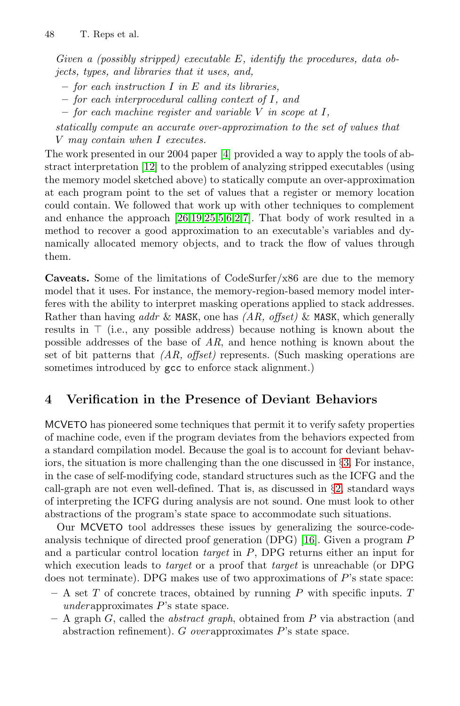*Given a (possibl[y](#page-14-3) [s](#page-14-3)tripped) executable* E*, identify the procedures, data ob[ject](#page-14-4)s, types, and libraries that it uses, and,*

- **–** *for each instruction* I *in* E *and its libraries,*
- **–** *for each interprocedural calling context of* I*, and*
- **–** *for [ea](#page-15-4)[ch](#page-15-5) [ma](#page-15-6)[ch](#page-14-2)[in](#page-14-5)[e](#page-14-6) [re](#page-14-0)gister and variable* V *in scope at* I*,*

*statically compute an accurate over-approximation to the set of values that* V *may contain when* I *executes.*

The work presented in our 2004 paper [4] provided a way to apply the tools of abstract interpretation [12] to the problem of analyzing stripped executables (using the memory model sketched above) to statically compute an over-approximation at each program point to the set of values that a register or memory location could contain. We followed that work up with other techniques to complement and enhance the approach [26,19,25,5,6,2,7]. That body of work resulted in a method to recover a good approximation to an executable's variables and dynamically allocated memory objects, and to track the flow of values through them.

<span id="page-7-0"></span>**Caveats.** Some of the limitations of CodeSurfer/x86 are due to the memory model that it uses. For instance, the memory-region-based memory model interferes with the ability to interpret masking operations applied to stack addresses. Rather than having *addr* & MASK, one has *(AR, offset)* & MASK, which generally results in  $\top$  (i.e., any possible address) because nothing is known about the possible addresses of the base of *AR*, and hence nothing is known about the set of bit patterns that *(AR, offset)* represents. (Such masking operations are sometimes introduced by gcc to enforce stac[k](#page-5-0) alignment.)

### **4 Verification in the Presence [of](#page-1-0) Deviant Behaviors**

MCVETO has pioneered some techniques that permit it to verify safety properties of machine code, even if the progra[m de](#page-15-7)viates from the behaviors expected from a standard compilation model. Because the goal is to account for deviant behaviors, the situation is more challenging than the one discussed in  $\S$ 3. For instance, in the case of self-modifying code, standard structures such as the ICFG and the call-graph are not even well-defined. That is, as discussed in §2, standard ways of interpreting the ICFG during analysis are not sound. One must look to other abstractions of the program's state space to accommodate such situations.

Our MCVETO tool addresses these issues by generalizing the source-codeanalysis technique of directed proof generation (DPG) [16]. Given a program P and a particular control location *target* in P, DPG returns either an input for which execution leads to *target* or a proof that *target* is unreachable (or DPG does not terminate). DPG makes use of two approximations of P's state space:

- **–** A set T of concrete traces, obtained by running P with specific inputs. T *under*approximates P's state space.
- **–** A graph G, called the *abstract graph*, obtained from P via abstraction (and abstraction refinement). G *over*approximates P's state space.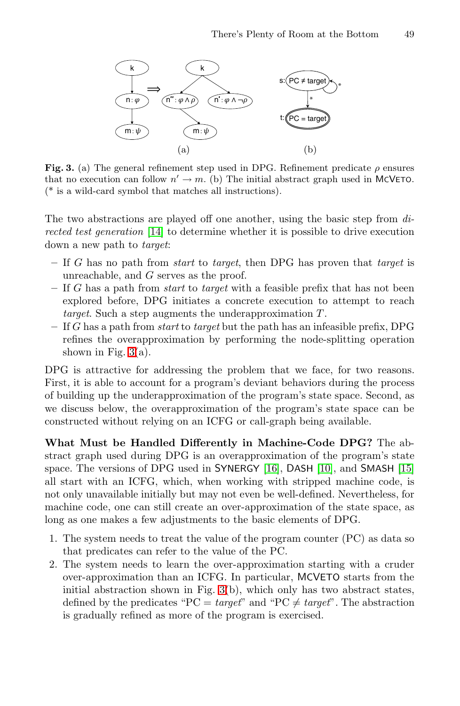<span id="page-8-0"></span>

**Fig. 3.** (a) The general refinement step used in DPG. Refinement predicate  $\rho$  ensures that no execution can follow  $n' \to m$ . (b) The initial abstract graph used in MCVETO. (\* is a wild-card symbol that matches all instructions).

The two abstractions are played off one another, using the basic step from *directed test generation* [14] to determine whether it is possible to drive execution [d](#page-8-0)own a new path to *target*:

- **–** If G has no path from *start* to *target*, then DPG has proven that *target* is unreachable, and G serves as the proof.
- **–** If G has a path from *start* to *target* with a feasible prefix that has not been explored before, DPG initiates a concrete execution to attempt to reach *target*. Such a step augments the underapproximation T.
- **–** If G has a path from *start* to *target* but the path has an infeasible prefix, DPG refines the overapproximation by performing the node-splitting operation shown in Fig.  $3(a)$ .

DPG is attractive for addr[essi](#page-15-7)ng the [prob](#page-14-7)lem that we [fac](#page-15-8)e, for two reasons. First, it is able to account for a program's deviant behaviors during the process of building up the underapproximation of the program's state space. Second, as we discuss below, the overapproximation of the program's state space can be constructed without relying on an ICFG or call-graph being available.

**What Must be Handled Differently in Machine-Code DPG?** The abstract graph used during DPG is an overapproximation of the program's state space. The versions of DPG used in SYNERGY [16], DASH [10], and SMASH [15] all start with an ICFG, which, when working with stripped machine code, is not only unavaila[ble](#page-8-0) initially but may not even be well-defined. Nevertheless, for machine code, one can still create an over-approximation of the state space, as long as one makes a few adjustments to the basic elements of DPG.

- 1. The system needs to treat the value of the program counter (PC) as data so that predicates can refer to the value of the PC.
- 2. The system needs to learn the over-approximation starting with a cruder over-approximation than an ICFG. In particular, MCVETO starts from the initial abstraction shown in Fig. 3(b), which only has two abstract states, defined by the predicates "PC = *target*" and "PC  $\neq target$ ". The abstraction is gradually refined as more of the program is exercised.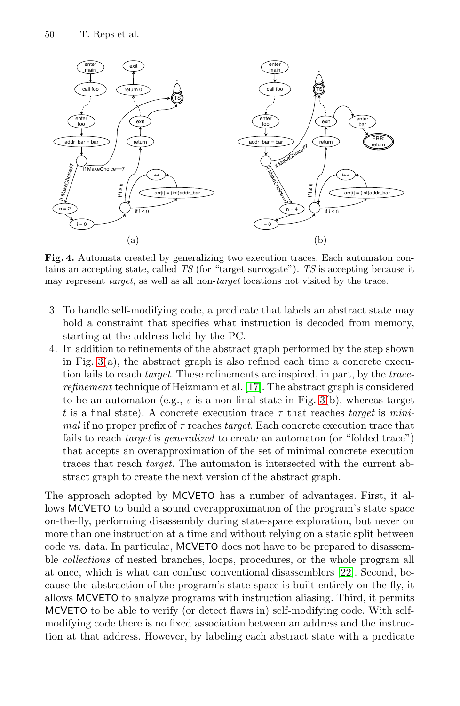<span id="page-9-0"></span>

**Fig. 4.** Automata created by generalizing two execution traces. Each automaton contains an accepting state, called *TS* (for "target surrogate"). *TS* is accepting because it may represent *target*, as w[ell](#page-15-9) [a](#page-15-9)s all non-*target* locations not visited by the trace.

- 3. To handle self-modifying code, a pr[edi](#page-8-0)cate that labels an abstract state may hold a constraint that specifies what instruction is decoded from memory, starting at the address held by the PC.
- 4. In addition to refinements of the abstract graph performed by the step shown in Fig. 3(a), the abstract graph is also refined each time a concrete execution fails to reach *target*. These refinements are inspired, in part, by the *tracerefinement* technique of Heizmann et al. [17]. The abstract graph is considered to be an automaton (e.g., s is a non-final state in Fig. 3(b), whereas target t is a final state). A concrete execution trace  $\tau$  that reaches *target* is *minimal* if no proper prefix of  $\tau$  reaches *target*. Each concrete execution trace that fails to reach *target* is *generalized* to create an automaton (or "folded trace") that accepts an overapproximation of the set of minimal concrete execution traces that reach *target*. The automaton is intersected with the current abstract graph to create the next version of [the](#page-15-3) abstract graph.

The approach adopted by MCVETO has a number of advantages. First, it allows MCVETO to build a sound overapproximation of the program's state space on-the-fly, performing disassembly during state-space exploration, but never on more than one instruction at a time and without relying on a static split between code vs. data. In particular, MCVETO does not have to be prepared to disassemble *collections* of nested branches, loops, procedures, or the whole program all at once, which is what can confuse conventional disassemblers [22]. Second, because the abstraction of the program's state space is built entirely on-the-fly, it allows MCVETO to analyze programs with instruction aliasing. Third, it permits MCVETO to be able to verify (or detect flaws in) self-modifying code. With selfmodifying code there is no fixed association between an address and the instruction at that address. However, by labeling each abstract state with a predicate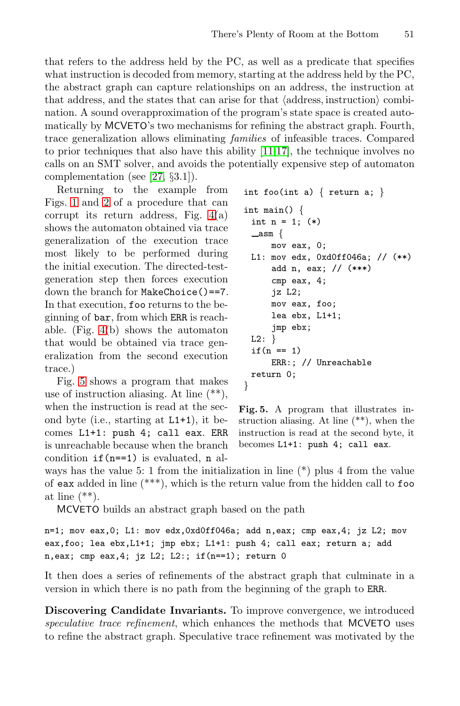that refers to the address [held](#page-14-8) [by](#page-15-9) the PC, as well as a predicate that specifies wh[at in](#page-15-1)struction is decoded from memory, starting at the address held by the PC, the abstract graph can capture relationships on an address, the instruction at that address, and the states that can arise for that  $\langle$  address, instruction $\rangle$  combination. A sound [ov](#page-9-0)erapproximation of the program's state space is created automatically by MCVETO's two mechanisms for refining the abstract graph. Fourth, trace generalization allows eliminating *families* of infeasible traces. Compared to prior techniques that also have this ability [11,17], the technique involves no calls on an SMT solver, and avoids the potentially expensive step of automaton complementation (see [27, §3.1]).

Returning to the example from Figs. 1 and 2 of a procedure that can corrupt its return address, Fig. 4(a) shows the automaton obtained via trace generalization of the execution trace most likely to be performed during the initial execution. The directed-testgeneration step then forces execution down the branch for MakeChoice()==7. In that execution, foo returns to the beginning of bar, from which ERR is reachable. (Fig. 4(b) shows the automaton that would be obtained via trace generalization from the second execution trace.)

Fig. 5 shows a program that makes use of instruction aliasing. At line (\*\*), when the instruction is read at the second byte (i.e., starting at L1+1), it becomes L1+1: push 4; call eax. ERR is unreachable because when the branch condition  $if(n==1)$  is evaluated, n al-

```
int foo(int a) \{ return a; \}int main() {
 int n = 1; (*)
 asm {
     mov eax, 0;
 L1: mov edx, 0xd0ff046a; // (**)
     add n, eax; // (***)
     cmp eax, 4;
     jz L2;
     mov eax, foo;
     lea ebx, L1+1;
     jmp ebx;
 L2: }
 if(n == 1)ERR:; // Unreachable
 return 0;
}
```
**Fig. 5.** A program that illustrates instruction aliasing. At line (\*\*), when the instruction is read at the second byte, it becomes L1+1: push 4; call eax.

ways has the value 5: 1 from the initialization in line  $(*)$  plus 4 from the value of eax added in line (\*\*\*), which is the return value from the hidden call to foo at line  $(**)$ .

MCVETO builds an abstract graph based on the path

n=1; mov eax,0; L1: mov edx,0xd0ff046a; add n,eax; cmp eax,4; jz L2; mov eax,foo; lea ebx,L1+1; jmp ebx; L1+1: push 4; call eax; return a; add n,eax; cmp eax, 4; jz L2; L2:; if(n==1); return 0

It then does a series of refinements of the abstract graph that culminate in a version in which there is no path from the beginning of the graph to ERR.

**Discovering Candidate Invariants.** To improve convergence, we introduced *speculative trace refinement*, which enhances the methods that MCVETO uses to refine the abstract graph. Speculative trace refinement was motivated by the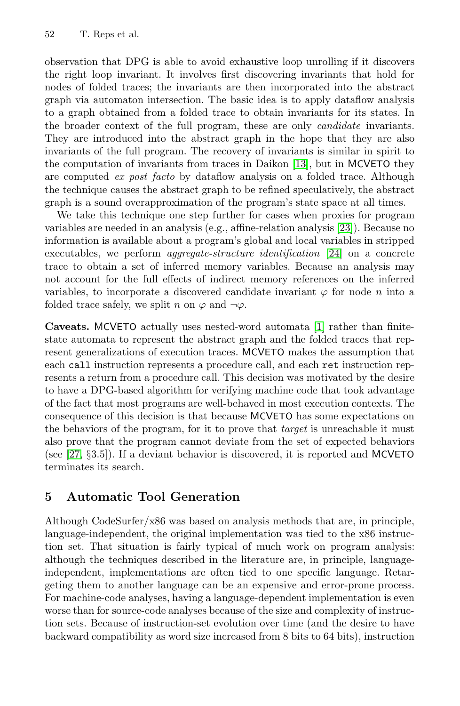observation that DPG is able to [avoi](#page-14-9)d exhaustive loop unrolling if it discovers the right loop invariant. It involves first discovering invariants that hold for nodes of folded traces; the invariants are then incorporated into the abstract graph via automaton intersection. The basic idea is to apply dataflow analysis to a graph obtained from a folded trace to obtain invariants for its states. In the broader context of the full program, t[hese](#page-15-10) are only *candidate* invariants. They are introduced into the abstract graph in the hope that they are also invariants of the full program. The recov[ery](#page-15-11) of invariants is similar in spirit to the computation of invariants from traces in Daikon [13], but in MCVETO they are computed *ex post facto* by dataflow analysis on a folded trace. Although the technique causes the abstract graph to be refined speculatively, the abstract graph is a sound overapproximation of the program's state space at all times.

We take this technique one step further for cases when proxies for program variables are needed in an analysis (e.g.[, a](#page-14-10)ffine-relation analysis [23]). Because no information is available about a program's global and local variables in stripped executables, we perform *aggregate-structure identification* [24] on a concrete trace to obtain a set of inferred memory variables. Because an analysis may not account for the full effects of indirect memory references on the inferred variables, to incorporate a discovered candidate invariant  $\varphi$  for node n into a folded trace safely, we split n on  $\varphi$  and  $\neg \varphi$ .

**Caveats.** MCVETO actually uses nested-word automata [1] rather than finitestate automata to represent the abstract graph and the folded traces that represent generalizations of execution traces. MCVETO makes the assumption that each call instruction represents a procedure call, and each ret instruction represents a return from a procedure call. This decision was motivated by the desire to have a DPG-based algorithm for verifying machine code that took advantage of the fact that most programs are well-behaved in most execution contexts. The consequence of this decision is that because MCVETO has some expectations on the behaviors of the program, for it to prove that *target* is unreachable it must also prove that the program cannot deviate from the set of expected behaviors (see [27, §3.5]). If a deviant behavior is discovered, it is reported and MCVETO terminates its search.

# **5 Automatic Tool Generation**

Although CodeSurfer/x86 was based on analysis methods that are, in principle, language-independent, the original implementation was tied to the x86 instruction set. That situation is fairly typical of much work on program analysis: although the techniques described in the literature are, in principle, languageindependent, implementations are often tied to one specific language. Retargeting them to another language can be an expensive and error-prone process. For machine-code analyses, having a language-dependent implementation is even worse than for source-code analyses because of the size and complexity of instruction sets. Because of instruction-set evolution over time (and the desire to have backward compatibility as word size increased from 8 bits to 64 bits), instruction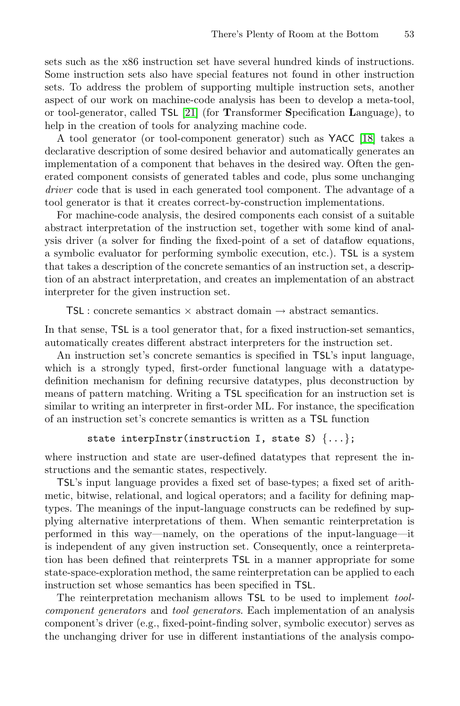sets such as the x86 instruction set have several hundred kinds of instructions. Some instruction sets also have special features not found in other instruction sets. To address the problem of supporting multiple instruction sets, another aspect of our work on machine-code analysis has been to develop a meta-tool, or tool-generator, called TSL [21] (for **T**ransformer **S**pecification **L**anguage), to help in the creation of tools for analyzing machine code.

A tool generator (or tool-component generator) such as YACC [18] takes a declarative description of some desired behavior and automatically generates an implementation of a component that behaves in the desired way. Often the generated component consists of generated tables and code, plus some unchanging *driver* code that is used in each generated tool component. The advantage of a tool generator is that it creates correct-by-construction implementations.

For machine-code analysis, the desired components each consist of a suitable abstract interpretation of the instruction set, together with some kind of analysis driver (a solver for finding the fixed-point of a set of dataflow equations, a symbolic evaluator for performing symbolic execution, etc.). TSL is a system that takes a description of the concrete semantics of an instruction set, a description of an abstract interpretation, and creates an implementation of an abstract interpreter for the given instruction set.

TSL : concrete semantics  $\times$  abstract domain  $\rightarrow$  abstract semantics.

In that sense, TSL is a tool generator that, for a fixed instruction-set semantics, automatically creates different abstract interpreters for the instruction set.

An instruction set's concrete semantics is specified in TSL's input language, which is a strongly typed, first-order functional language with a datatypedefinition mechanism for defining recursive datatypes, plus deconstruction by means of pattern matching. Writing a TSL specification for an instruction set is similar to writing an interpreter in first-order ML. For instance, the specification of an instruction set's concrete semantics is written as a TSL function

# state interpInstr(instruction I, state S)  $\{ \ldots \};$

where instruction and state are user-defined datatypes that represent the instructions and the semantic states, respectively.

TSL's input language provides a fixed set of base-types; a fixed set of arithmetic, bitwise, relational, and logical operators; and a facility for defining maptypes. The meanings of the input-language constructs can be redefined by supplying alternative interpretations of them. When semantic reinterpretation is performed in this way—namely, on the operations of the input-language—it is independent of any given instruction set. Consequently, once a reinterpretation has been defined that reinterprets TSL in a manner appropriate for some state-space-exploration method, the same reinterpretation can be applied to each instruction set whose semantics has been specified in TSL.

The reinterpretation mechanism allows TSL to be used to implement *toolcomponent generators* and *tool generators*. Each implementation of an analysis component's driver (e.g., fixed-point-finding solver, symbolic executor) serves as the unchanging driver for use in different instantiations of the analysis compo-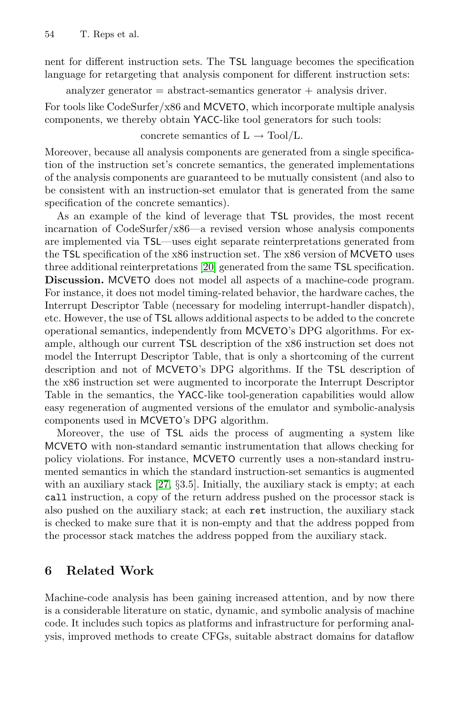nent for different instruction sets. The TSL language becomes the specification language for retargeting that analysis component for different instruction sets:

analyzer generator  $=$  abstract-semantics generator  $+$  analysis driver.

For tools like CodeSurfer/x86 and MCVETO, which incorporate multiple analysis components, we thereby obtain YACC-like tool generators for such tools:

concrete semantics of  $L \rightarrow \text{Tool}/L$ .

Moreover, because all analysis components are generated from a single specification of the ins[truc](#page-15-13)tion set's concrete semantics, the generated implementations of the analysis components are guaranteed to be mutually consistent (and also to be consistent with an instruction-set emulator that is generated from the same specification of the concrete semantics).

As an example of the kind of leverage that TSL provides, the most recent incarnation of CodeSurfer/x86—a revised version whose analysis components are implemented via TSL—uses eight separate reinterpretations generated from the TSL specification of the x86 instruction set. The x86 version of MCVETO uses three additional reinterpretations [20] generated from the same TSL specification. **Discussion.** MCVETO does not model all aspects of a machine-code program. For instance, it does not model timing-related behavior, the hardware caches, the Interrupt Descriptor Table (necessary for modeling interrupt-handler dispatch), etc. However, the use of TSL allows additional aspects to be added to the concrete operational semantics, independently from MCVETO's DPG algorithms. For example, although our current TSL description of the x86 instruction set does not model the Interrupt Descriptor Table, that is only a shortcoming of the current description and not of MCVETO's DPG algorithms. If the TSL description of the x[86](#page-15-1) instruction set were augmented to incorporate the Interrupt Descriptor Table in the semantics, the YACC-like tool-generation capabilities would allow easy regeneration of augmented versions of the emulator and symbolic-analysis components used in MCVETO's DPG algorithm.

<span id="page-13-0"></span>Moreover, the use of TSL aids the process of augmenting a system like MCVETO with non-standard semantic instrumentation that allows checking for policy violations. For instance, MCVETO currently uses a non-standard instrumented semantics in which the standard instruction-set semantics is augmented with an auxiliary stack [27, §3.5]. Initially, the auxiliary stack is empty; at each call instruction, a copy of the return address pushed on the processor stack is also pushed on the auxiliary stack; at each ret instruction, the auxiliary stack is checked to make sure that it is non-empty and that the address popped from the processor stack matches the address popped from the auxiliary stack.

# **6 Related Work**

Machine-code analysis has been gaining increased attention, and by now there is a considerable literature on static, dynamic, and symbolic analysis of machine code. It includes such topics as platforms and infrastructure for performing analysis, improved methods to create CFGs, suitable abstract domains for dataflow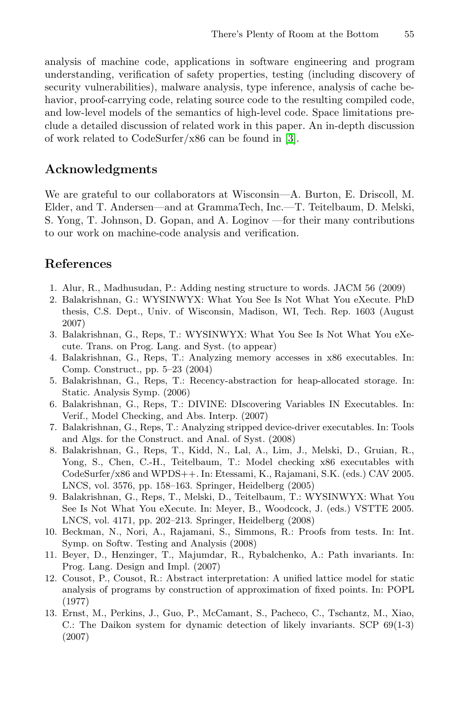analysis of machine code, applications in software engineering and program understanding, verification of safety properties, testing (including discovery of security vulnerabilities), malware analysis, type inference, analysis of cache behavior, proof-carrying code, relating source code to the resulting compiled code. and low-level models of the semantics of high-level code. Space limitations preclude a detailed discussion of related work in this paper. An in-depth discussion of work related to CodeSurfer/x86 can be found in [3].

# <span id="page-14-10"></span>**Acknowledgments**

<span id="page-14-6"></span><span id="page-14-1"></span>We are grateful to our collaborators at Wisconsin—A. Burton, E. Driscoll, M. Elder, and T. Andersen—and at GrammaTech, Inc.—T. Teitelbaum, D. Melski, S. Yong, T. Johnson, D. Gopan, and A. Loginov —for their many contributions to our work on machine-code analysis and verification.

### <span id="page-14-3"></span><span id="page-14-2"></span>**References**

- 1. Alur, R., Madhusudan, P.: Adding nesting structure to words. JACM 56 (2009)
- <span id="page-14-5"></span>2. Balakrishnan, G.: WYSINWYX: What You See Is Not What You eXecute. PhD thesis, C.S. Dept., Univ. of Wisconsin, Madison, WI, Tech. Rep. 1603 (August 2007)
- <span id="page-14-0"></span>3. Balakrishnan, G., Reps, T.: WYSINWYX: What You See Is Not What You eXecute. Trans. on Prog. Lang. and Syst. (to appear)
- 4. Balakrishnan, G., Reps, T.: Analyzing memory accesses in x86 executables. In: Comp. Construct., pp. 5–23 (2004)
- 5. Balakrishnan, G., Reps, T.: Recency-abstraction for heap-allocated storage. In: Static. Analysis Symp. (2006)
- 6. Balakrishnan, G., Reps, T.: DIVINE: DIscovering Variables IN Executables. In: Verif., Model Checking, and Abs. Interp. (2007)
- <span id="page-14-7"></span>7. Balakrishnan, G., Reps, T.: Analyzing stripped device-driver executables. In: Tools and Algs. for the Construct. and Anal. of Syst. (2008)
- <span id="page-14-8"></span>8. Balakrishnan, G., Reps, T., Kidd, N., Lal, A., Lim, J., Melski, D., Gruian, R., Yong, S., Chen, C.-H., Teitelbaum, T.: Model checking x86 executables with CodeSurfer/x86 and WPDS++. In: Etessami, K., Rajamani, S.K. (eds.) CAV 2005. LNCS, vol. 3576, pp. 158–163. Springer, Heidelberg (2005)
- <span id="page-14-9"></span><span id="page-14-4"></span>9. Balakrishnan, G., Reps, T., Melski, D., Teitelbaum, T.: WYSINWYX: What You See Is Not What You eXecute. In: Meyer, B., Woodcock, J. (eds.) VSTTE 2005. LNCS, vol. 4171, pp. 202–213. Springer, Heidelberg (2008)
- 10. Beckman, N., Nori, A., Rajamani, S., Simmons, R.: Proofs from tests. In: Int. Symp. on Softw. Testing and Analysis (2008)
- 11. Beyer, D., Henzinger, T., Majumdar, R., Rybalchenko, A.: Path invariants. In: Prog. Lang. Design and Impl. (2007)
- 12. Cousot, P., Cousot, R.: Abstract interpretation: A unified lattice model for static analysis of programs by construction of approximation of fixed points. In: POPL (1977)
- 13. Ernst, M., Perkins, J., Guo, P., McCamant, S., Pacheco, C., Tschantz, M., Xiao, C.: The Daikon system for dynamic detection of likely invariants. SCP 69(1-3) (2007)